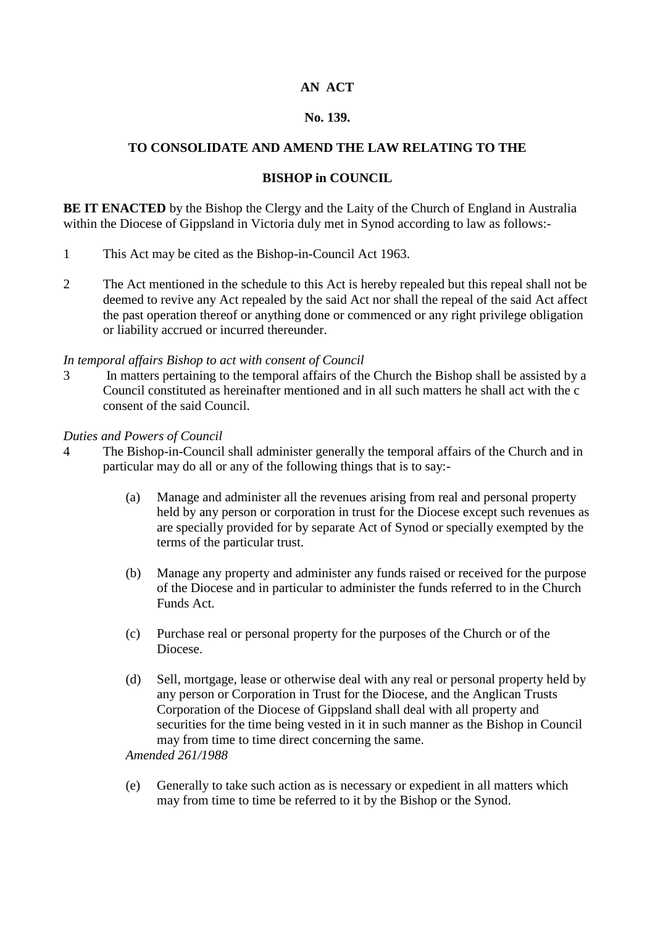## **AN ACT**

### **No. 139.**

## **TO CONSOLIDATE AND AMEND THE LAW RELATING TO THE**

### **BISHOP in COUNCIL**

**BE IT ENACTED** by the Bishop the Clergy and the Laity of the Church of England in Australia within the Diocese of Gippsland in Victoria duly met in Synod according to law as follows:-

- 1 This Act may be cited as the Bishop-in-Council Act 1963.
- 2 The Act mentioned in the schedule to this Act is hereby repealed but this repeal shall not be deemed to revive any Act repealed by the said Act nor shall the repeal of the said Act affect the past operation thereof or anything done or commenced or any right privilege obligation or liability accrued or incurred thereunder.

#### *In temporal affairs Bishop to act with consent of Council*

3 In matters pertaining to the temporal affairs of the Church the Bishop shall be assisted by a Council constituted as hereinafter mentioned and in all such matters he shall act with the c consent of the said Council.

#### *Duties and Powers of Council*

- 4 The Bishop-in-Council shall administer generally the temporal affairs of the Church and in particular may do all or any of the following things that is to say:-
	- (a) Manage and administer all the revenues arising from real and personal property held by any person or corporation in trust for the Diocese except such revenues as are specially provided for by separate Act of Synod or specially exempted by the terms of the particular trust.
	- (b) Manage any property and administer any funds raised or received for the purpose of the Diocese and in particular to administer the funds referred to in the Church Funds Act.
	- (c) Purchase real or personal property for the purposes of the Church or of the Diocese.
	- (d) Sell, mortgage, lease or otherwise deal with any real or personal property held by any person or Corporation in Trust for the Diocese, and the Anglican Trusts Corporation of the Diocese of Gippsland shall deal with all property and securities for the time being vested in it in such manner as the Bishop in Council may from time to time direct concerning the same.

*Amended 261/1988*

(e) Generally to take such action as is necessary or expedient in all matters which may from time to time be referred to it by the Bishop or the Synod.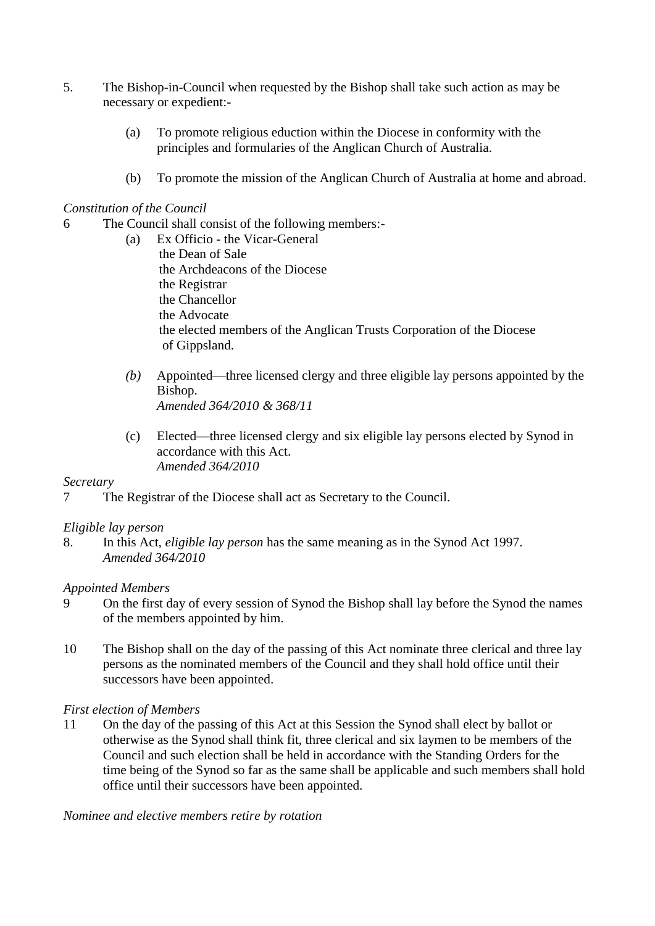- 5. The Bishop-in-Council when requested by the Bishop shall take such action as may be necessary or expedient:-
	- (a) To promote religious eduction within the Diocese in conformity with the principles and formularies of the Anglican Church of Australia.
	- (b) To promote the mission of the Anglican Church of Australia at home and abroad.

## *Constitution of the Council*

- 6 The Council shall consist of the following members:-
	- (a) Ex Officio the Vicar-General the Dean of Sale the Archdeacons of the Diocese the Registrar the Chancellor the Advocate the elected members of the Anglican Trusts Corporation of the Diocese of Gippsland.
	- *(b)* Appointed—three licensed clergy and three eligible lay persons appointed by the Bishop. *Amended 364/2010 & 368/11*
	- (c) Elected—three licensed clergy and six eligible lay persons elected by Synod in accordance with this Act. *Amended 364/2010*

### *Secretary*

7 The Registrar of the Diocese shall act as Secretary to the Council.

### *Eligible lay person*

8. In this Act, *eligible lay person* has the same meaning as in the Synod Act 1997. *Amended 364/2010*

### *Appointed Members*

- 9 On the first day of every session of Synod the Bishop shall lay before the Synod the names of the members appointed by him.
- 10 The Bishop shall on the day of the passing of this Act nominate three clerical and three lay persons as the nominated members of the Council and they shall hold office until their successors have been appointed.

### *First election of Members*

11 On the day of the passing of this Act at this Session the Synod shall elect by ballot or otherwise as the Synod shall think fit, three clerical and six laymen to be members of the Council and such election shall be held in accordance with the Standing Orders for the time being of the Synod so far as the same shall be applicable and such members shall hold office until their successors have been appointed.

*Nominee and elective members retire by rotation*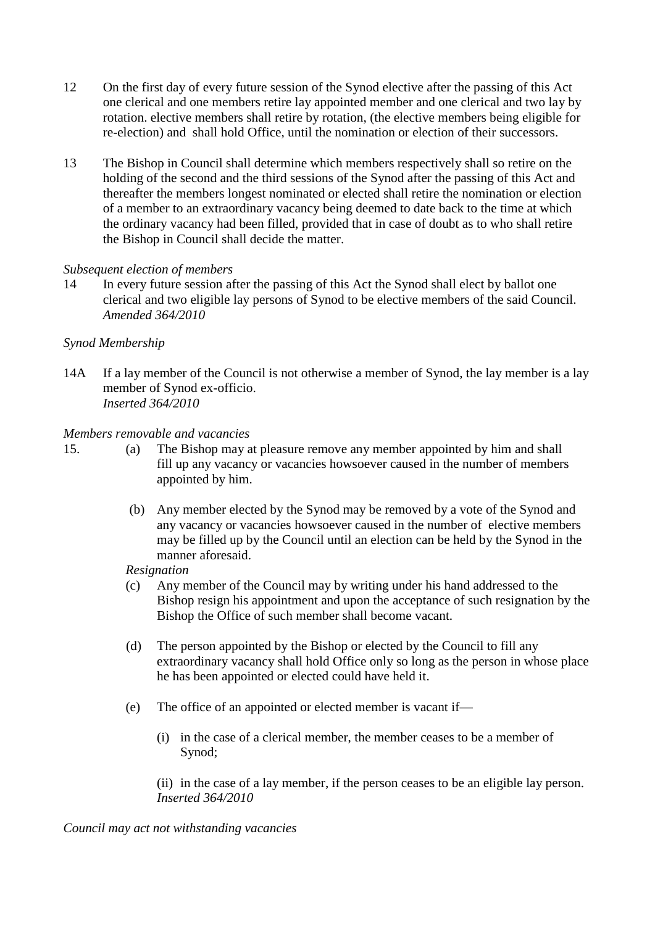- 12 On the first day of every future session of the Synod elective after the passing of this Act one clerical and one members retire lay appointed member and one clerical and two lay by rotation. elective members shall retire by rotation, (the elective members being eligible for re-election) and shall hold Office, until the nomination or election of their successors.
- 13 The Bishop in Council shall determine which members respectively shall so retire on the holding of the second and the third sessions of the Synod after the passing of this Act and thereafter the members longest nominated or elected shall retire the nomination or election of a member to an extraordinary vacancy being deemed to date back to the time at which the ordinary vacancy had been filled, provided that in case of doubt as to who shall retire the Bishop in Council shall decide the matter.

### *Subsequent election of members*

14 In every future session after the passing of this Act the Synod shall elect by ballot one clerical and two eligible lay persons of Synod to be elective members of the said Council. *Amended 364/2010*

# *Synod Membership*

14A If a lay member of the Council is not otherwise a member of Synod, the lay member is a lay member of Synod ex-officio. *Inserted 364/2010*

# *Members removable and vacancies*

- 15. (a) The Bishop may at pleasure remove any member appointed by him and shall fill up any vacancy or vacancies howsoever caused in the number of members appointed by him.
	- (b) Any member elected by the Synod may be removed by a vote of the Synod and any vacancy or vacancies howsoever caused in the number of elective members may be filled up by the Council until an election can be held by the Synod in the manner aforesaid.

*Resignation*

- (c) Any member of the Council may by writing under his hand addressed to the Bishop resign his appointment and upon the acceptance of such resignation by the Bishop the Office of such member shall become vacant.
- (d) The person appointed by the Bishop or elected by the Council to fill any extraordinary vacancy shall hold Office only so long as the person in whose place he has been appointed or elected could have held it.
- (e) The office of an appointed or elected member is vacant if—
	- (i) in the case of a clerical member, the member ceases to be a member of Synod;

(ii) in the case of a lay member, if the person ceases to be an eligible lay person. *Inserted 364/2010*

*Council may act not withstanding vacancies*